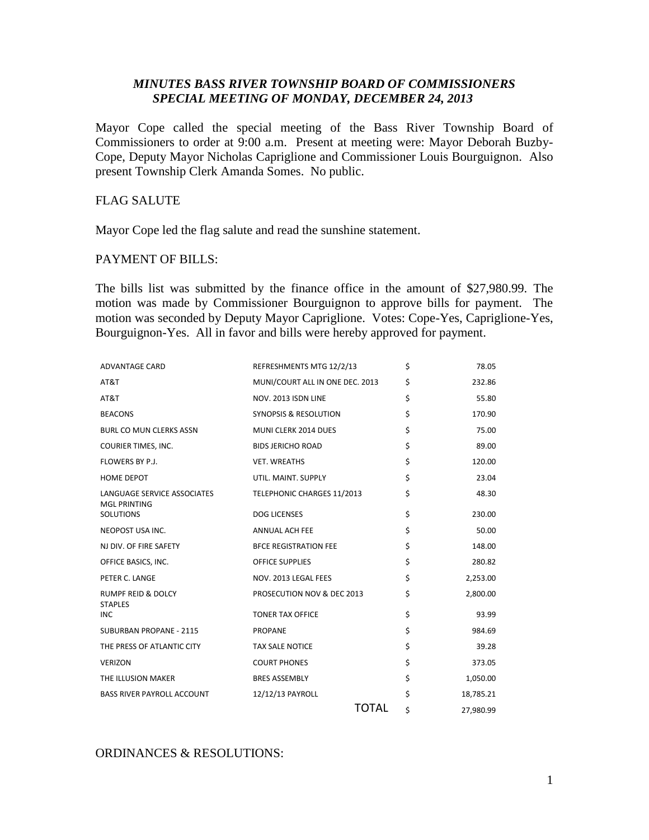## *MINUTES BASS RIVER TOWNSHIP BOARD OF COMMISSIONERS SPECIAL MEETING OF MONDAY, DECEMBER 24, 2013*

Mayor Cope called the special meeting of the Bass River Township Board of Commissioners to order at 9:00 a.m. Present at meeting were: Mayor Deborah Buzby-Cope, Deputy Mayor Nicholas Capriglione and Commissioner Louis Bourguignon. Also present Township Clerk Amanda Somes. No public.

# FLAG SALUTE

Mayor Cope led the flag salute and read the sunshine statement.

## PAYMENT OF BILLS:

The bills list was submitted by the finance office in the amount of \$27,980.99. The motion was made by Commissioner Bourguignon to approve bills for payment. The motion was seconded by Deputy Mayor Capriglione. Votes: Cope-Yes, Capriglione-Yes, Bourguignon-Yes. All in favor and bills were hereby approved for payment.

| <b>ADVANTAGE CARD</b>                              | REFRESHMENTS MTG 12/2/13        | \$<br>78.05     |
|----------------------------------------------------|---------------------------------|-----------------|
| AT&T                                               | MUNI/COURT ALL IN ONE DEC. 2013 | \$<br>232.86    |
| AT&T                                               | NOV. 2013 ISDN LINE             | \$<br>55.80     |
| <b>BEACONS</b>                                     | SYNOPSIS & RESOLUTION           | \$<br>170.90    |
| <b>BURL CO MUN CLERKS ASSN</b>                     | MUNI CLERK 2014 DUES            | \$<br>75.00     |
| COURIER TIMES, INC.                                | <b>BIDS JERICHO ROAD</b>        | \$<br>89.00     |
| FLOWERS BY P.J.                                    | <b>VET. WREATHS</b>             | \$<br>120.00    |
| <b>HOME DEPOT</b>                                  | UTIL. MAINT. SUPPLY             | \$<br>23.04     |
| LANGUAGE SERVICE ASSOCIATES<br><b>MGL PRINTING</b> | TELEPHONIC CHARGES 11/2013      | \$<br>48.30     |
| <b>SOLUTIONS</b>                                   | <b>DOG LICENSES</b>             | \$<br>230.00    |
| NEOPOST USA INC.                                   | <b>ANNUAL ACH FEE</b>           | \$<br>50.00     |
| NJ DIV. OF FIRE SAFETY                             | <b>BFCE REGISTRATION FEE</b>    | \$<br>148.00    |
| OFFICE BASICS, INC.                                | <b>OFFICE SUPPLIES</b>          | \$<br>280.82    |
| PETER C. LANGE                                     | NOV. 2013 LEGAL FEES            | \$<br>2,253.00  |
| <b>RUMPF REID &amp; DOLCY</b><br><b>STAPLES</b>    | PROSECUTION NOV & DEC 2013      | \$<br>2,800.00  |
| <b>INC</b>                                         | <b>TONER TAX OFFICE</b>         | \$<br>93.99     |
| <b>SUBURBAN PROPANE - 2115</b>                     | <b>PROPANE</b>                  | \$<br>984.69    |
| THE PRESS OF ATLANTIC CITY                         | <b>TAX SALE NOTICE</b>          | \$<br>39.28     |
| <b>VERIZON</b>                                     | <b>COURT PHONES</b>             | \$<br>373.05    |
| THE ILLUSION MAKER                                 | <b>BRES ASSEMBLY</b>            | \$<br>1,050.00  |
| <b>BASS RIVER PAYROLL ACCOUNT</b>                  | 12/12/13 PAYROLL                | \$<br>18,785.21 |
|                                                    | <b>TOTAL</b>                    | \$<br>27,980.99 |

## ORDINANCES & RESOLUTIONS: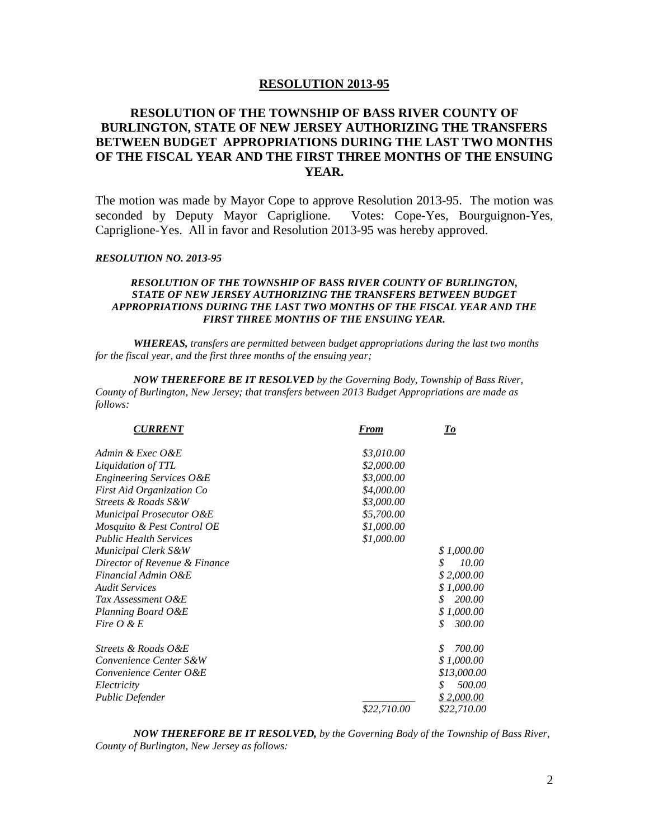### **RESOLUTION 2013-95**

# **RESOLUTION OF THE TOWNSHIP OF BASS RIVER COUNTY OF BURLINGTON, STATE OF NEW JERSEY AUTHORIZING THE TRANSFERS BETWEEN BUDGET APPROPRIATIONS DURING THE LAST TWO MONTHS OF THE FISCAL YEAR AND THE FIRST THREE MONTHS OF THE ENSUING YEAR.**

The motion was made by Mayor Cope to approve Resolution 2013-95. The motion was seconded by Deputy Mayor Capriglione. Votes: Cope-Yes, Bourguignon-Yes, Capriglione-Yes. All in favor and Resolution 2013-95 was hereby approved.

#### *RESOLUTION NO. 2013-95*

### *RESOLUTION OF THE TOWNSHIP OF BASS RIVER COUNTY OF BURLINGTON, STATE OF NEW JERSEY AUTHORIZING THE TRANSFERS BETWEEN BUDGET APPROPRIATIONS DURING THE LAST TWO MONTHS OF THE FISCAL YEAR AND THE FIRST THREE MONTHS OF THE ENSUING YEAR.*

*WHEREAS, transfers are permitted between budget appropriations during the last two months for the fiscal year, and the first three months of the ensuing year;*

*NOW THEREFORE BE IT RESOLVED by the Governing Body, Township of Bass River, County of Burlington, New Jersey; that transfers between 2013 Budget Appropriations are made as follows:*

| <b>CURRENT</b>                   | <b>From</b> | <u>To</u>    |
|----------------------------------|-------------|--------------|
| Admin & Exec O&E                 | \$3,010.00  |              |
| Liquidation of TTL               | \$2,000.00  |              |
| Engineering Services O&E         | \$3,000.00  |              |
| <b>First Aid Organization Co</b> | \$4,000.00  |              |
| Streets & Roads S&W              | \$3,000.00  |              |
| Municipal Prosecutor O&E         | \$5,700.00  |              |
| Mosquito & Pest Control OE       | \$1,000.00  |              |
| <b>Public Health Services</b>    | \$1,000.00  |              |
| Municipal Clerk S&W              |             | \$1,000.00   |
| Director of Revenue & Finance    |             | \$<br>10.00  |
| Financial Admin O&E              |             | \$2,000.00   |
| <b>Audit Services</b>            |             | \$1,000.00   |
| Tax Assessment O&E               |             | 200.00<br>\$ |
| Planning Board O&E               |             | \$1,000.00   |
| Fire $O \& E$                    |             | \$<br>300.00 |
| Streets & Roads O&E              |             | \$<br>700.00 |
| Convenience Center S&W           |             | \$1,000.00   |
| Convenience Center O&E           |             | \$13,000.00  |
| Electricity                      |             | 500.00<br>\$ |
| Public Defender                  |             | \$2,000.00   |
|                                  | \$22,710.00 | \$22,710.00  |

*NOW THEREFORE BE IT RESOLVED, by the Governing Body of the Township of Bass River, County of Burlington, New Jersey as follows:*